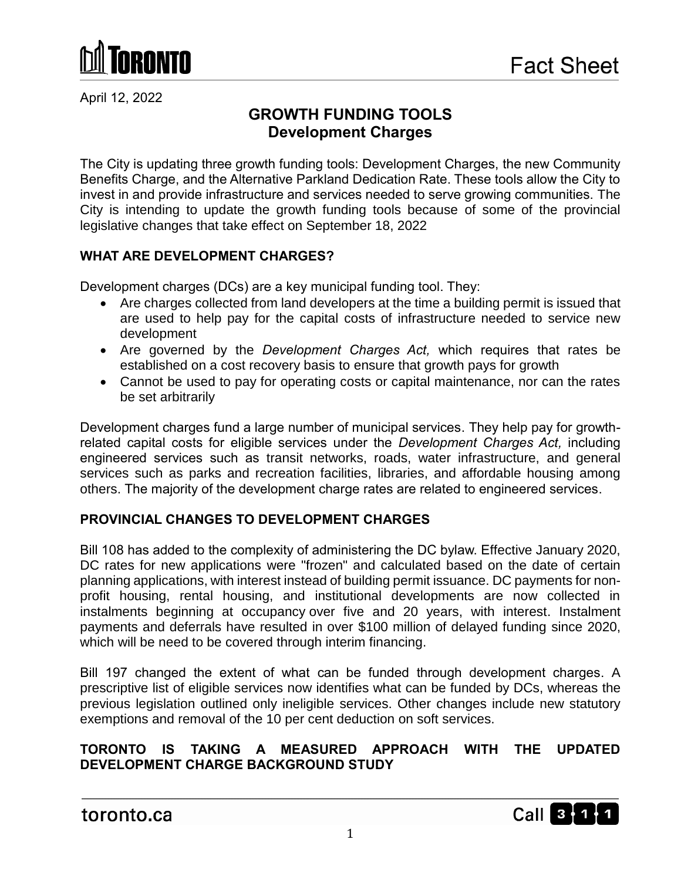

April 12, 2022

## **GROWTH FUNDING TOOLS Development Charges**

The City is updating three growth funding tools: Development Charges, the new Community Benefits Charge, and the Alternative Parkland Dedication Rate. These tools allow the City to invest in and provide infrastructure and services needed to serve growing communities. The City is intending to update the growth funding tools because of some of the provincial legislative changes that take effect on September 18, 2022

### **WHAT ARE DEVELOPMENT CHARGES?**

Development charges (DCs) are a key municipal funding tool. They:

- Are charges collected from land developers at the time a building permit is issued that are used to help pay for the capital costs of infrastructure needed to service new development
- Are governed by the *Development Charges Act,* which requires that rates be established on a cost recovery basis to ensure that growth pays for growth
- Cannot be used to pay for operating costs or capital maintenance, nor can the rates be set arbitrarily

Development charges fund a large number of municipal services. They help pay for growthrelated capital costs for eligible services under the *Development Charges Act,* including engineered services such as transit networks, roads, water infrastructure, and general services such as parks and recreation facilities, libraries, and affordable housing among others. The majority of the development charge rates are related to engineered services.

### **PROVINCIAL CHANGES TO DEVELOPMENT CHARGES**

Bill 108 has added to the complexity of administering the DC bylaw. Effective January 2020, DC rates for new applications were "frozen" and calculated based on the date of certain planning applications, with interest instead of building permit issuance. DC payments for nonprofit housing, rental housing, and institutional developments are now collected in instalments beginning at occupancy over five and 20 years, with interest. Instalment payments and deferrals have resulted in over \$100 million of delayed funding since 2020, which will be need to be covered through interim financing.

Bill 197 changed the extent of what can be funded through development charges. A prescriptive list of eligible services now identifies what can be funded by DCs, whereas the previous legislation outlined only ineligible services. Other changes include new statutory exemptions and removal of the 10 per cent deduction on soft services.

#### **TORONTO IS TAKING A MEASURED APPROACH WITH THE UPDATED DEVELOPMENT CHARGE BACKGROUND STUDY**